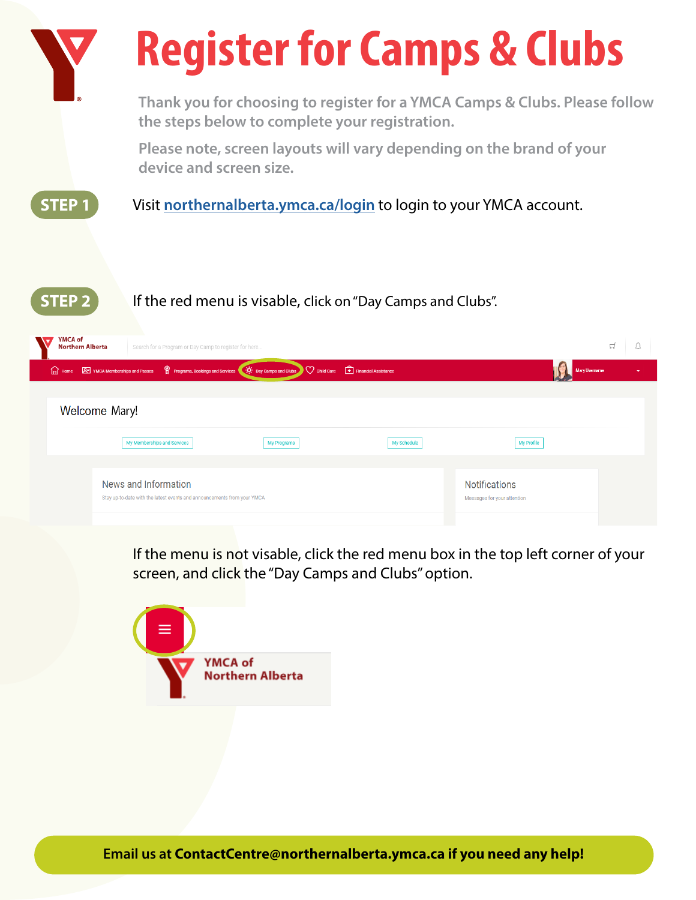

If the menu is not visable, click the red menu box in the top left corner of your screen, and click the "Day Camps and Clubs" option.

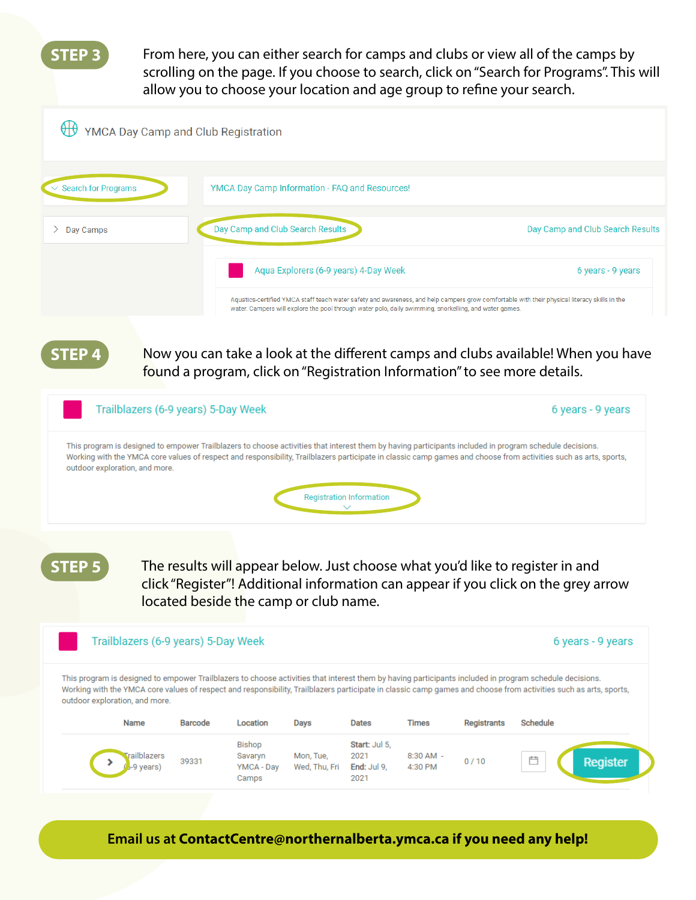**STEP 3**

From here, you can either search for camps and clubs or view all of the camps by scrolling on the page. If you choose to search, click on "Search for Programs". This will allow you to choose your location and age group to refine your search.



**STEP 4**

Now you can take a look at the different camps and clubs available! When you have found a program, click on "Registration Information" to see more details.



**STEP 5**

The results will appear below. Just choose what you'd like to register in and click "Register"! Additional information can appear if you click on the grey arrow located beside the camp or club name.

## Trailblazers (6-9 years) 5-Day Week 6 years - 9 years This program is designed to empower Trailblazers to choose activities that interest them by having participants included in program schedule decisions. Working with the YMCA core values of respect and responsibility, Trailblazers participate in classic camp games and choose from activities such as arts, sports, outdoor exploration, and more. Name **Barcode** Location **Days Dates Times Registrants** Schedule Bishop Start: Jul 5, railblazers Mon, Tue, 2021 8:30 AM -Savaryn 39331  $0/10$ Register End: Jul 9, -9 vears) YMCA - Dav Wed, Thu, Fri 4:30 PM Camps 2021

**Email us at ContactCentre@northernalberta.ymca.ca if you need any help!**